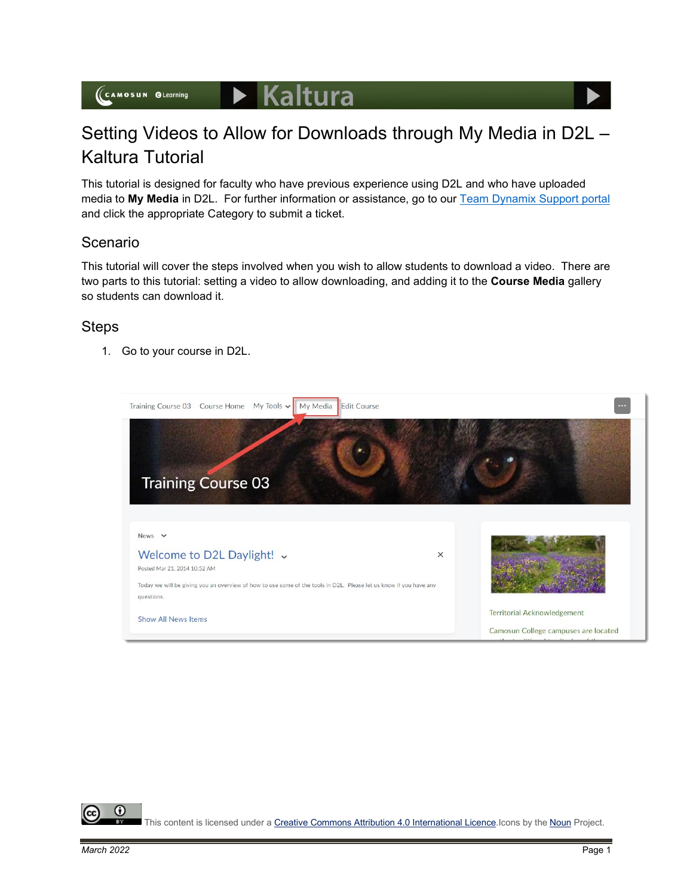## Setting Videos to Allow for Downloads through My Media in D2L – Kaltura Tutorial

This tutorial is designed for faculty who have previous experience using D2L and who have uploaded media to **My Media** in D2L. For further information or assistance, go to our [Team Dynamix Support portal](https://camosun.teamdynamix.com/TDClient/67/Portal/Requests/ServiceCatalog?CategoryID=523) and click the appropriate Category to submit a ticket.

## Scenario

This tutorial will cover the steps involved when you wish to allow students to download a video. There are two parts to this tutorial: setting a video to allow downloading, and adding it to the **Course Media** gallery so students can download it.

## **Steps**

1. Go to your course in D2L.



This content is licensed under [a Creative Commons Attribution 4.0 International Licence.I](https://creativecommons.org/licenses/by/4.0/)cons by the [Noun](https://creativecommons.org/website-icons/) Project.

⋒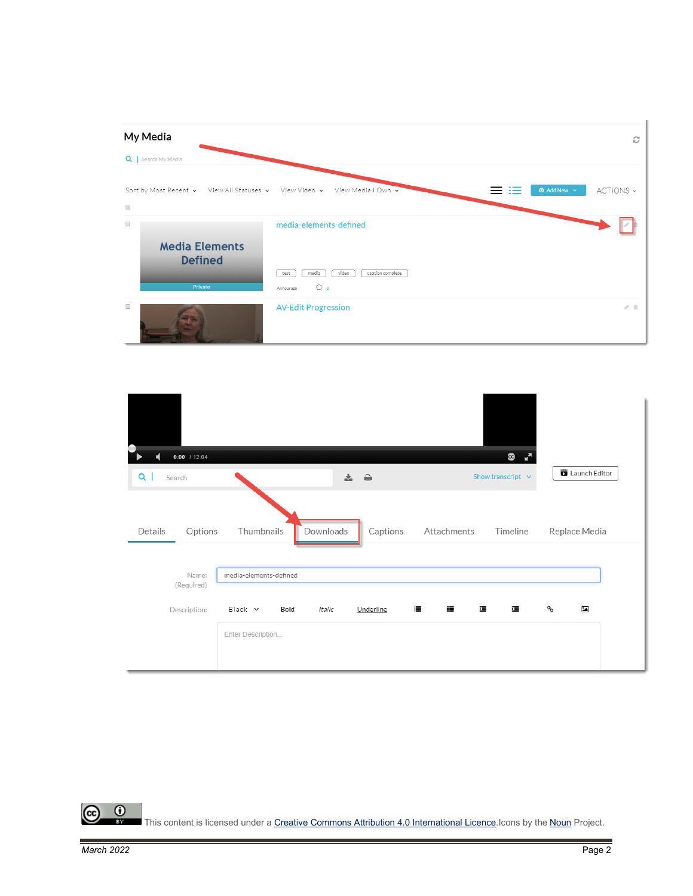

| $0:00$ / 12:04<br>$Q \mid$<br>Search |                                           |           | 之 台       |             | G<br>- ⊭"<br>Show transcript $\;\vee\;$ | Launch Editor             |  |
|--------------------------------------|-------------------------------------------|-----------|-----------|-------------|-----------------------------------------|---------------------------|--|
| Details<br>Options                   | Thumbnails                                | Downloads | Captions  | Attachments | Timeline                                | Replace Media             |  |
| Name:<br>(Required)                  | media-elements-defined                    |           |           |             |                                         |                           |  |
| Description:                         | $Black \sim$<br>Bold<br>Enter Description | Italic    | Underline | 這<br>這      | 缰<br>澶                                  | ዔ<br>$\ddot{\phantom{a}}$ |  |

 $\overline{0}$ (cc

This content is licensed under [a Creative Commons Attribution 4.0 International Licence.I](https://creativecommons.org/licenses/by/4.0/)cons by the [Noun](https://creativecommons.org/website-icons/) Project.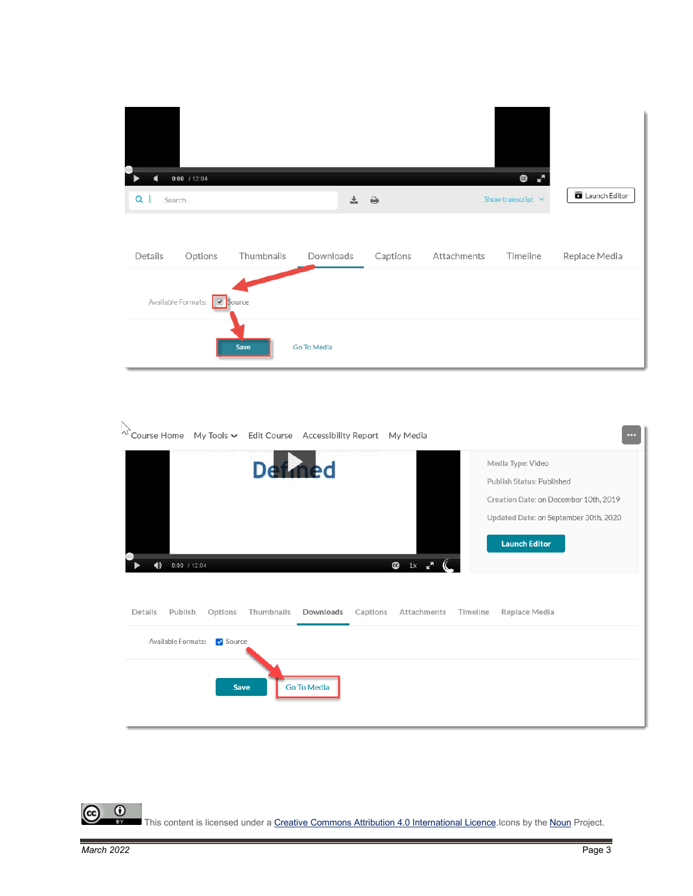| $0:00$ / 12:04              |            |             |          |             | $\bullet$ $\bullet$    |               |
|-----------------------------|------------|-------------|----------|-------------|------------------------|---------------|
| $Q \mid$<br>Search          |            |             | 소 습      |             | Show transcript $\vee$ | Launch Editor |
| Details<br>Options          | Thumbnails | Downloads   | Captions | Attachments | Timeline               | Replace Media |
| Available Formats: Ø Source |            |             |          |             |                        |               |
|                             | Save       | Go To Media |          |             |                        |               |

| $\triangleright$<br>Course Home My Tools v Edit Course Accessibility Report My Media |                                  |                |                          |          |                                  |          | $\cdots$                                                                                                                                                 |
|--------------------------------------------------------------------------------------|----------------------------------|----------------|--------------------------|----------|----------------------------------|----------|----------------------------------------------------------------------------------------------------------------------------------------------------------|
| $0:00$ / 12:04<br>11)                                                                |                                  | <b>Defined</b> |                          |          | $\overline{Q}$ 1x $\overline{r}$ |          | Media Type: Video<br>Publish Status: Published<br>Creation Date: on December 10th, 2019<br>Updated Date: on September 30th, 2020<br><b>Launch Editor</b> |
| Details<br>Publish<br>Available Formats:                                             | Options<br>Source<br><b>Save</b> | Thumbnails     | Downloads<br>Go To Media | Captions | Attachments                      | Timeline | Replace Media                                                                                                                                            |

 $\circledcirc$  $\frac{0}{x}$ This content is licensed under [a Creative Commons Attribution 4.0 International Licence.I](https://creativecommons.org/licenses/by/4.0/)cons by the [Noun](https://creativecommons.org/website-icons/) Project.